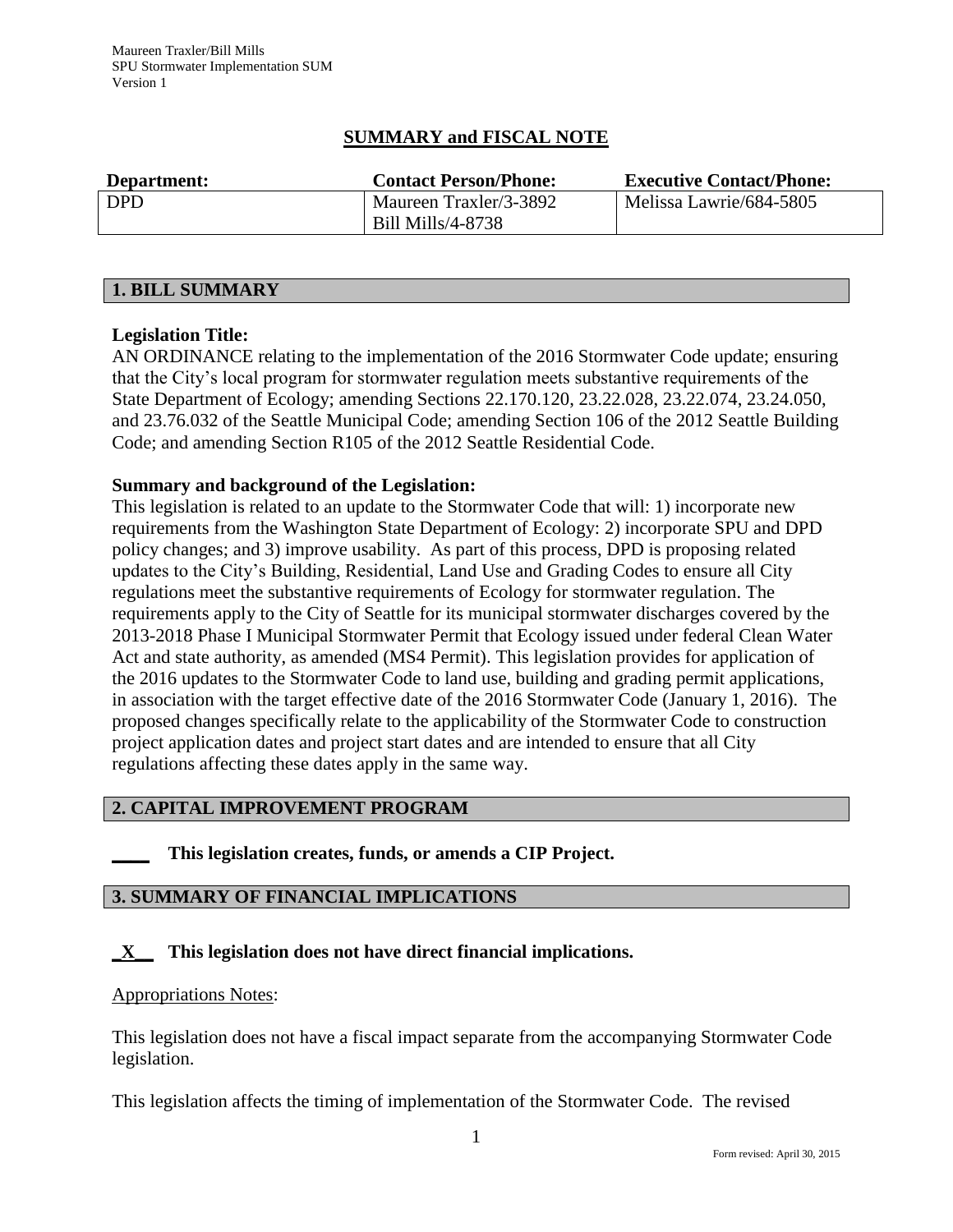## **SUMMARY and FISCAL NOTE**

| Department: | <b>Contact Person/Phone:</b> | <b>Executive Contact/Phone:</b> |
|-------------|------------------------------|---------------------------------|
| <b>DPD</b>  | Maureen Traxler/3-3892       | Melissa Lawrie/684-5805         |
|             | Bill Mills/4-8738            |                                 |

#### **1. BILL SUMMARY**

### **Legislation Title:**

AN ORDINANCE relating to the implementation of the 2016 Stormwater Code update; ensuring that the City's local program for stormwater regulation meets substantive requirements of the State Department of Ecology; amending Sections 22.170.120, 23.22.028, 23.22.074, 23.24.050, and 23.76.032 of the Seattle Municipal Code; amending Section 106 of the 2012 Seattle Building Code; and amending Section R105 of the 2012 Seattle Residential Code.

### **Summary and background of the Legislation:**

This legislation is related to an update to the Stormwater Code that will: 1) incorporate new requirements from the Washington State Department of Ecology: 2) incorporate SPU and DPD policy changes; and 3) improve usability. As part of this process, DPD is proposing related updates to the City's Building, Residential, Land Use and Grading Codes to ensure all City regulations meet the substantive requirements of Ecology for stormwater regulation. The requirements apply to the City of Seattle for its municipal stormwater discharges covered by the 2013-2018 Phase I Municipal Stormwater Permit that Ecology issued under federal Clean Water Act and state authority, as amended (MS4 Permit). This legislation provides for application of the 2016 updates to the Stormwater Code to land use, building and grading permit applications, in association with the target effective date of the 2016 Stormwater Code (January 1, 2016). The proposed changes specifically relate to the applicability of the Stormwater Code to construction project application dates and project start dates and are intended to ensure that all City regulations affecting these dates apply in the same way.

#### **2. CAPITAL IMPROVEMENT PROGRAM**

**\_\_\_\_ This legislation creates, funds, or amends a CIP Project.** 

### **3. SUMMARY OF FINANCIAL IMPLICATIONS**

### **\_X\_\_ This legislation does not have direct financial implications.**

#### Appropriations Notes:

This legislation does not have a fiscal impact separate from the accompanying Stormwater Code legislation.

This legislation affects the timing of implementation of the Stormwater Code. The revised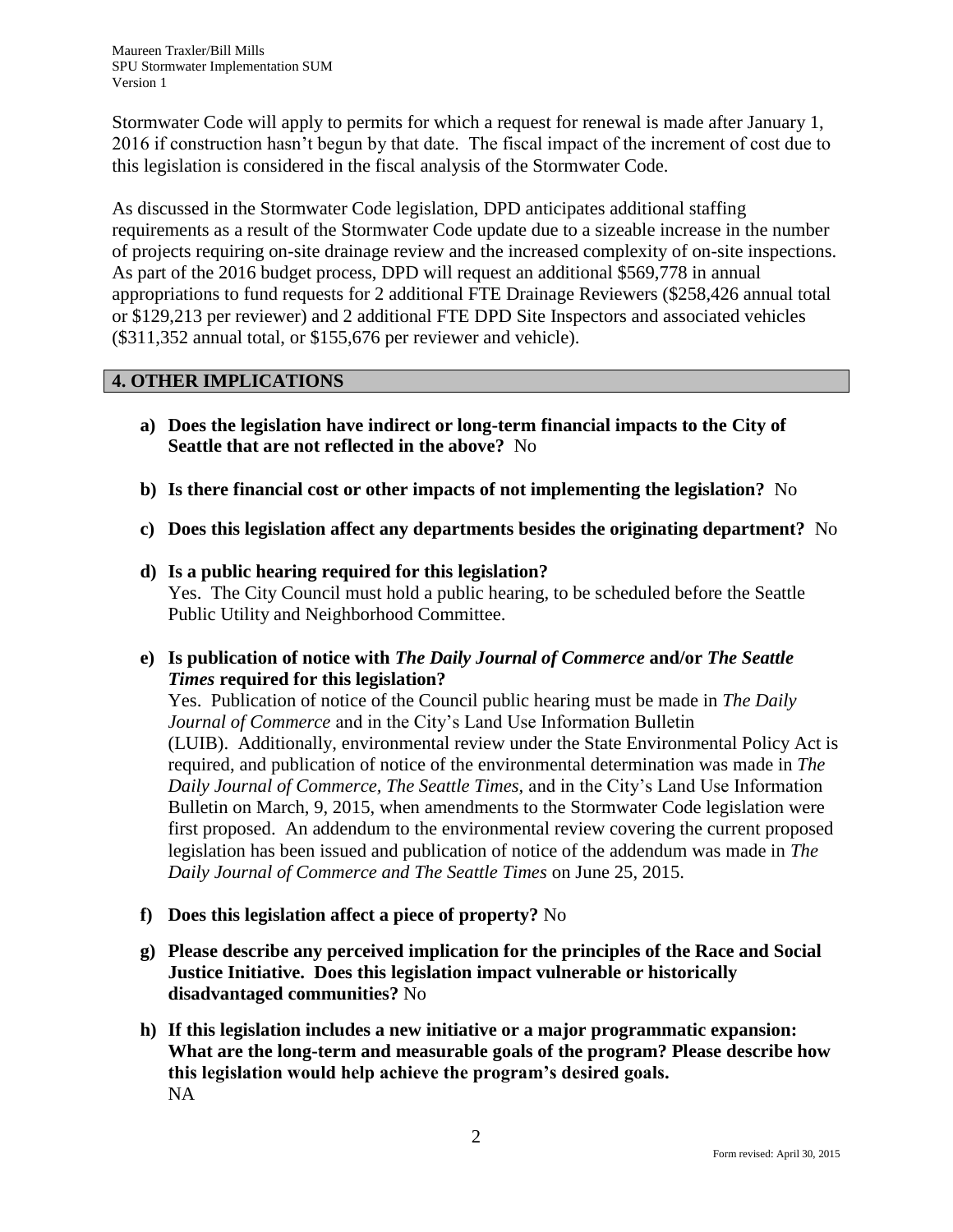Maureen Traxler/Bill Mills SPU Stormwater Implementation SUM Version 1

Stormwater Code will apply to permits for which a request for renewal is made after January 1, 2016 if construction hasn't begun by that date. The fiscal impact of the increment of cost due to this legislation is considered in the fiscal analysis of the Stormwater Code.

As discussed in the Stormwater Code legislation, DPD anticipates additional staffing requirements as a result of the Stormwater Code update due to a sizeable increase in the number of projects requiring on-site drainage review and the increased complexity of on-site inspections. As part of the 2016 budget process, DPD will request an additional \$569,778 in annual appropriations to fund requests for 2 additional FTE Drainage Reviewers (\$258,426 annual total or \$129,213 per reviewer) and 2 additional FTE DPD Site Inspectors and associated vehicles (\$311,352 annual total, or \$155,676 per reviewer and vehicle).

## **4. OTHER IMPLICATIONS**

- **a) Does the legislation have indirect or long-term financial impacts to the City of Seattle that are not reflected in the above?** No
- **b) Is there financial cost or other impacts of not implementing the legislation?** No
- **c) Does this legislation affect any departments besides the originating department?** No
- **d) Is a public hearing required for this legislation?**  Yes. The City Council must hold a public hearing, to be scheduled before the Seattle Public Utility and Neighborhood Committee.
- **e) Is publication of notice with** *The Daily Journal of Commerce* **and/or** *The Seattle Times* **required for this legislation?**

Yes. Publication of notice of the Council public hearing must be made in *The Daily Journal of Commerce* and in the City's Land Use Information Bulletin (LUIB). Additionally, environmental review under the State Environmental Policy Act is required, and publication of notice of the environmental determination was made in *The Daily Journal of Commerce, The Seattle Times,* and in the City's Land Use Information Bulletin on March, 9, 2015, when amendments to the Stormwater Code legislation were first proposed. An addendum to the environmental review covering the current proposed legislation has been issued and publication of notice of the addendum was made in *The Daily Journal of Commerce and The Seattle Times* on June 25, 2015.

- **f) Does this legislation affect a piece of property?** No
- **g) Please describe any perceived implication for the principles of the Race and Social Justice Initiative. Does this legislation impact vulnerable or historically disadvantaged communities?** No
- **h) If this legislation includes a new initiative or a major programmatic expansion: What are the long-term and measurable goals of the program? Please describe how this legislation would help achieve the program's desired goals.** NA